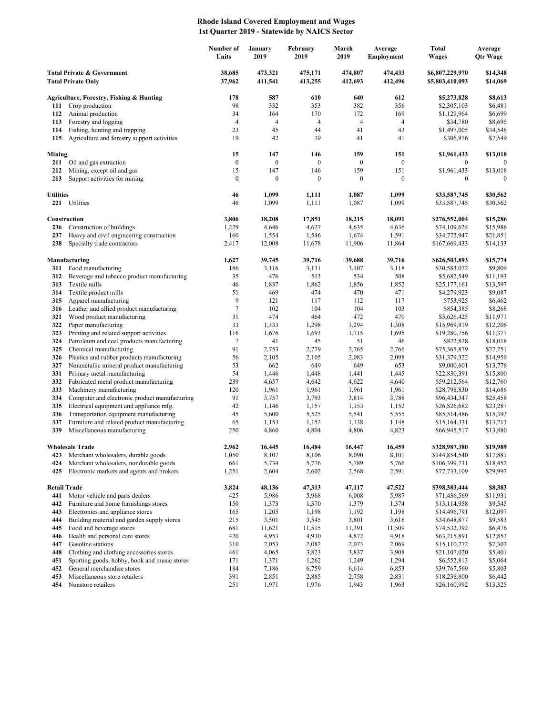## **Rhode Island Covered Employment and Wages 1st Quarter 2019 - Statewide by NAICS Sector**

|                                                                    |                                                                   | Number of<br>Units | January<br>2019    | February<br>2019   | March<br>2019      | Average<br>Employment | Total<br><b>Wages</b>              | Average<br><b>Qtr Wage</b> |
|--------------------------------------------------------------------|-------------------------------------------------------------------|--------------------|--------------------|--------------------|--------------------|-----------------------|------------------------------------|----------------------------|
| <b>Total Private &amp; Government</b><br><b>Total Private Only</b> |                                                                   | 38,685<br>37,962   | 473,321<br>411,541 | 475,171<br>413,255 | 474,807<br>412,693 | 474,433<br>412,496    | \$6,807,229,970<br>\$5,803,410,093 | \$14,348<br>\$14,069       |
|                                                                    | Agriculture, Forestry, Fishing & Hunting                          | 178                | 587                | 610                | 640                | 612                   | \$5,273,828                        | \$8,613                    |
| 111                                                                | Crop production                                                   | 98                 | 332                | 353                | 382                | 356                   | \$2,305,103                        | \$6,481                    |
| 112                                                                | Animal production                                                 | 34                 | 164                | 170                | 172                | 169                   | \$1,129,964                        | \$6,699                    |
| 113                                                                | Forestry and logging                                              | 4                  | $\overline{4}$     | 4                  | $\overline{4}$     | $\overline{4}$        | \$34,780                           | \$8,695                    |
| 114                                                                | Fishing, hunting and trapping                                     | 23<br>19           | 45<br>42           | 44<br>39           | 41<br>41           | 43<br>41              | \$1,497,005                        | \$34,546                   |
| 115                                                                | Agriculture and forestry support activities                       |                    |                    |                    |                    |                       | \$306,976                          | \$7,549                    |
| Mining                                                             |                                                                   | 15                 | 147                | 146                | 159                | 151                   | \$1,961,433                        | \$13,018                   |
| 211                                                                | Oil and gas extraction                                            | $\boldsymbol{0}$   | $\boldsymbol{0}$   | $\boldsymbol{0}$   | $\mathbf{0}$       | $\boldsymbol{0}$      | $\bf{0}$                           | $\mathbf{0}$               |
| 212                                                                | Mining, except oil and gas                                        | 15                 | 147                | 146                | 159                | 151                   | \$1,961,433                        | \$13,018                   |
| 213                                                                | Support activities for mining                                     | $\boldsymbol{0}$   | $\boldsymbol{0}$   | $\boldsymbol{0}$   | $\boldsymbol{0}$   | $\boldsymbol{0}$      | $\mathbf{0}$                       | $\Omega$                   |
| <b>Utilities</b>                                                   |                                                                   | 46                 | 1,099              | 1,111              | 1,087              | 1,099                 | \$33,587,745                       | \$30,562                   |
|                                                                    | 221 Utilities                                                     | 46                 | 1,099              | 1,111              | 1,087              | 1,099                 | \$33,587,745                       | \$30,562                   |
|                                                                    | Construction                                                      | 3,806              | 18,208             | 17,851             | 18,215             | 18,091                | \$276,552,004                      | \$15,286                   |
| 236                                                                | Construction of buildings                                         | 1,229              | 4,646              | 4,627              | 4,635              | 4,636                 | \$74,109,624                       | \$15,986                   |
| 237                                                                | Heavy and civil engineering construction                          | 160                | 1,554              | 1,546              | 1,674              | 1,591                 | \$34,772,947                       | \$21,851                   |
| 238                                                                | Specialty trade contractors                                       | 2,417              | 12,008             | 11,678             | 11,906             | 11,864                | \$167,669,433                      | \$14,133                   |
|                                                                    | Manufacturing                                                     | 1,627              | 39,745             | 39,716             | 39,688             | 39,716                | \$626,503,893                      | \$15,774                   |
| 311                                                                | Food manufacturing                                                | 186                | 3,116              | 3,131              | 3,107              | 3,118                 | \$30,583,072                       | \$9,809                    |
| 312                                                                | Beverage and tobacco product manufacturing                        | 35                 | 476                | 513                | 534                | 508                   | \$5,682,549                        | \$11,193                   |
| 313                                                                | Textile mills                                                     | 46                 | 1,837              | 1,862              | 1,856              | 1,852                 | \$25,177,161                       | \$13,597                   |
| 314                                                                | Textile product mills                                             | 51                 | 469                | 474                | 470                | 471                   | \$4,279,923                        | \$9,087                    |
| 315                                                                | Apparel manufacturing                                             | 9                  | 121                | 117                | 112                | 117                   | \$753,925                          | \$6,462                    |
| 316                                                                | Leather and allied product manufacturing                          | 7                  | 102                | 104                | 104                | 103                   | \$854,385                          | \$8,268                    |
| 321<br>322                                                         | Wood product manufacturing<br>Paper manufacturing                 | 31<br>33           | 474<br>1,333       | 464<br>1,298       | 472<br>1,294       | 470<br>1,308          | \$5,626,425<br>\$15,969,919        | \$11,971<br>\$12,206       |
| 323                                                                | Printing and related support activities                           | 116                | 1,676              | 1,693              | 1,715              | 1,695                 | \$19,280,756                       | \$11,377                   |
| 324                                                                | Petroleum and coal products manufacturing                         | 7                  | 41                 | 45                 | 51                 | 46                    | \$822,828                          | \$18,018                   |
| 325                                                                | Chemical manufacturing                                            | 91                 | 2,753              | 2,779              | 2,765              | 2,766                 | \$75,365,879                       | \$27,251                   |
| 326                                                                | Plastics and rubber products manufacturing                        | 56                 | 2,105              | 2,105              | 2,083              | 2,098                 | \$31,379,322                       | \$14,959                   |
| 327                                                                | Nonmetallic mineral product manufacturing                         | 53                 | 662                | 649                | 649                | 653                   | \$9,000,601                        | \$13,776                   |
| 331                                                                | Primary metal manufacturing                                       | 54                 | 1,446              | 1,448              | 1,441              | 1,445                 | \$22,830,391                       | \$15,800                   |
| 332<br>333                                                         | Fabricated metal product manufacturing<br>Machinery manufacturing | 239                | 4,657              | 4,642              | 4,622              | 4,640                 | \$59,212,564                       | \$12,760                   |
| 334                                                                | Computer and electronic product manufacturing                     | 120<br>91          | 1,961<br>3,757     | 1,961<br>3,793     | 1,961<br>3,814     | 1,961<br>3,788        | \$28,798,830<br>\$96,434,347       | \$14,686<br>\$25,458       |
| 335                                                                | Electrical equipment and appliance mfg.                           | 42                 | 1,146              | 1,157              | 1,153              | 1,152                 | \$26,826,682                       | \$23,287                   |
| 336                                                                | Transportation equipment manufacturing                            | 45                 | 5,600              | 5,525              | 5,541              | 5,555                 | \$85,514,486                       | \$15,393                   |
| 337                                                                | Furniture and related product manufacturing                       | 65                 | 1,153              | 1,152              | 1,138              | 1,148                 | \$15,164,331                       | \$13,213                   |
| 339                                                                | Miscellaneous manufacturing                                       | 250                | 4,860              | 4,804              | 4,806              | 4,823                 | \$66,945,517                       | \$13,880                   |
|                                                                    | <b>Wholesale Trade</b>                                            | 2,962              | 16,445             | 16.484             | 16.447             | 16,459                | \$328,987,380                      | \$19,989                   |
| 423                                                                | Merchant wholesalers, durable goods                               | 1,050              | 8,107              | 8,106              | 8,090              | 8,101                 | \$144,854,540                      | \$17,881                   |
| 424                                                                | Merchant wholesalers, nondurable goods                            | 661                | 5,734              | 5,776              | 5,789              | 5,766                 | \$106,399,731                      | \$18,452                   |
| 425                                                                | Electronic markets and agents and brokers                         | 1,251              | 2,604              | 2,602              | 2,568              | 2,591                 | \$77,733,109                       | \$29,997                   |
| <b>Retail Trade</b>                                                |                                                                   | 3,824              | 48,136             | 47,313             | 47,117             | 47,522                | \$398,383,444                      | \$8,383                    |
| 441                                                                | Motor vehicle and parts dealers                                   | 425                | 5,986              | 5,968              | 6,008              | 5,987                 | \$71,436,569                       | \$11,931                   |
| 442                                                                | Furniture and home furnishings stores                             | 150                | 1,373              | 1,370              | 1,379              | 1,374                 | \$13,114,958                       | \$9,545                    |
| 443                                                                | Electronics and appliance stores                                  | 165                | 1,205              | 1,198              | 1,192              | 1,198                 | \$14,496,791                       | \$12,097                   |
| 444                                                                | Building material and garden supply stores                        | 215                | 3,501              | 3,545              | 3,801              | 3,616                 | \$34,648,877                       | \$9,583                    |
| 445                                                                | Food and beverage stores                                          | 681                | 11,621             | 11,515             | 11,391             | 11,509                | \$74,532,392                       | \$6,476                    |
| 446                                                                | Health and personal care stores<br>Gasoline stations              | 420<br>310         | 4,953              | 4,930              | 4,872              | 4,918                 | \$63,215,891                       | \$12,853                   |
| 447<br>448                                                         | Clothing and clothing accessories stores                          | 461                | 2,053<br>4,065     | 2,082<br>3,823     | 2,073<br>3,837     | 2,069<br>3,908        | \$15,110,772<br>\$21,107,020       | \$7,302<br>\$5,401         |
| 451                                                                | Sporting goods, hobby, book and music stores                      | 171                | 1,371              | 1,262              | 1,249              | 1,294                 | \$6,552,813                        | \$5,064                    |
| 452                                                                | General merchandise stores                                        | 184                | 7,186              | 6,759              | 6,614              | 6,853                 | \$39,767,569                       | \$5,803                    |
| 453                                                                | Miscellaneous store retailers                                     | 391                | 2,851              | 2,885              | 2,758              | 2,831                 | \$18,238,800                       | \$6,442                    |
| 454                                                                | Nonstore retailers                                                | 251                | 1,971              | 1,976              | 1,943              | 1,963                 | \$26,160,992                       | \$13,325                   |